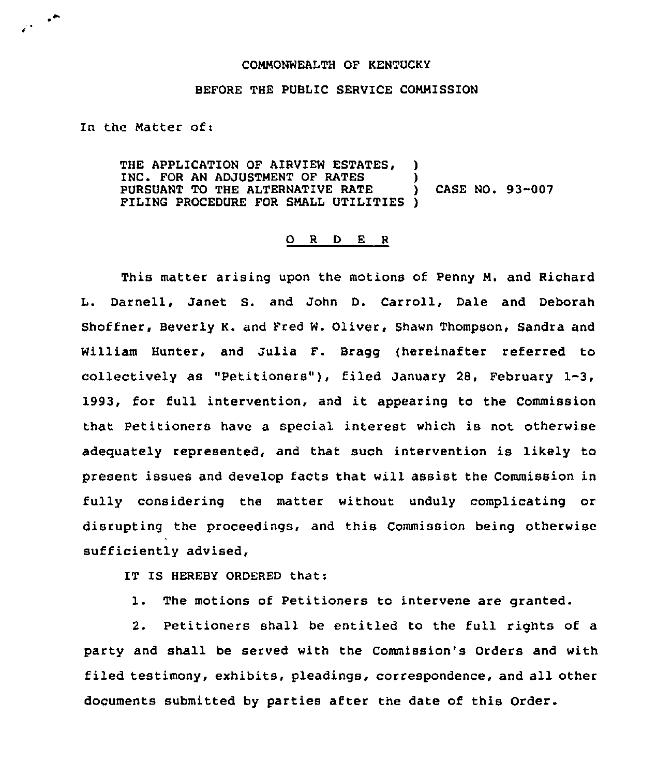## COMMONWEALTH OF KENTUCKY

## BEFORE THE PUBLIC SERVICE COMMISSION

In the Matter of:

 $\cdot$   $\cdot$ 

THE APPLICATION OF AIRVIEW ESTATES, )<br>INC. FOR AN ADJUSTMENT OF RATES INC. FOR AN ADJUSTMENT OF RATES )<br>PURSUANT TO THE ALTERNATIVE RATE ) PURSUANT TO THE ALTERNATIVE RATE ) CASE NO. 93-007 FILING PROCEDURE FOR SMALL UTILITIES )

## 0 <sup>R</sup> <sup>D</sup> E <sup>R</sup>

This matter arising upon the motions of Penny M. and Richard L. Darnell, Janet S. and John D. Carroll, Dale and Deborah Shoffner, Beverly K. and Fred W. Oliver, Shawn Thompson, Sandra and William Hunter, and Julia F. Bragg (hereinafter referred to collectively as "Petitioners" ), filed January 28, February 1-3, 1993, for full intervention, and it appearing to the Commission that Petitioners have a special interest which is not otherwise adequately represented, and that such intervention is likely to present issues and develop facts that will assist the Commission in fully considering the matter without unduly complicating or disrupting the proceedings, and this Commission being otherwise sufficiently advised,

IT IS HEREBY ORDERED that:

1. The motions of Petitioners to intervene are granted.

2. Petitioners shall be entitled to the full rights of a party and shall be served with the Commission's Orders and with filed testimony, exhibits, pleadings, correspondence, and all other documents submitted by parties after the date of this Order.